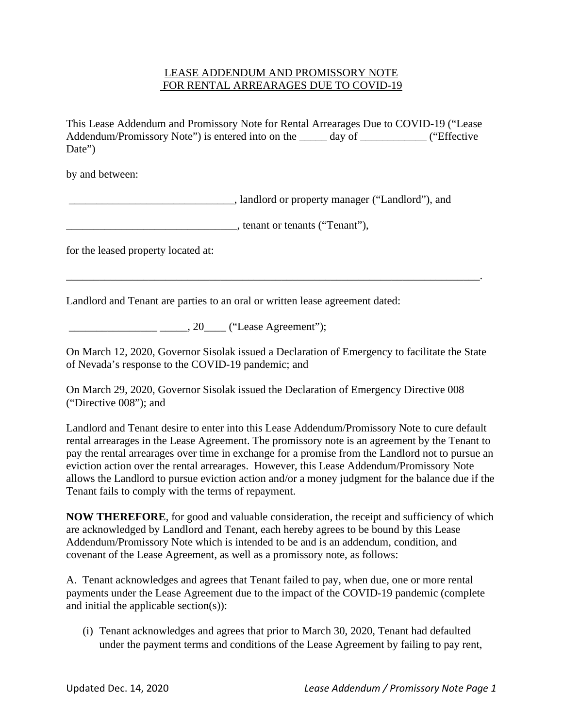## LEASE ADDENDUM AND PROMISSORY NOTE FOR RENTAL ARREARAGES DUE TO COVID-19

This Lease Addendum and Promissory Note for Rental Arrearages Due to COVID-19 ("Lease Addendum/Promissory Note") is entered into on the \_\_\_\_\_\_ day of \_\_\_\_\_\_\_\_ ("Effective Date")

by and between:

\_\_\_\_\_\_\_\_\_\_\_\_\_\_\_\_\_\_\_\_\_\_\_\_\_\_\_\_\_\_, landlord or property manager ("Landlord"), and

\_\_\_\_\_\_\_\_\_\_\_\_\_\_\_\_\_\_\_\_\_\_\_\_\_\_\_\_\_\_\_, tenant or tenants ("Tenant"),

for the leased property located at:

Landlord and Tenant are parties to an oral or written lease agreement dated:

\_\_\_\_\_\_\_\_\_\_\_\_\_\_\_\_ \_\_\_\_\_, 20\_\_\_\_ ("Lease Agreement");

On March 12, 2020, Governor Sisolak issued a Declaration of Emergency to facilitate the State of Nevada's response to the COVID-19 pandemic; and

\_\_\_\_\_\_\_\_\_\_\_\_\_\_\_\_\_\_\_\_\_\_\_\_\_\_\_\_\_\_\_\_\_\_\_\_\_\_\_\_\_\_\_\_\_\_\_\_\_\_\_\_\_\_\_\_\_\_\_\_\_\_\_\_\_\_\_\_\_\_\_\_\_\_\_.

On March 29, 2020, Governor Sisolak issued the Declaration of Emergency Directive 008 ("Directive 008"); and

Landlord and Tenant desire to enter into this Lease Addendum/Promissory Note to cure default rental arrearages in the Lease Agreement. The promissory note is an agreement by the Tenant to pay the rental arrearages over time in exchange for a promise from the Landlord not to pursue an eviction action over the rental arrearages. However, this Lease Addendum/Promissory Note allows the Landlord to pursue eviction action and/or a money judgment for the balance due if the Tenant fails to comply with the terms of repayment.

**NOW THEREFORE**, for good and valuable consideration, the receipt and sufficiency of which are acknowledged by Landlord and Tenant, each hereby agrees to be bound by this Lease Addendum/Promissory Note which is intended to be and is an addendum, condition, and covenant of the Lease Agreement, as well as a promissory note, as follows:

A. Tenant acknowledges and agrees that Tenant failed to pay, when due, one or more rental payments under the Lease Agreement due to the impact of the COVID-19 pandemic (complete and initial the applicable section(s)):

(i) Tenant acknowledges and agrees that prior to March 30, 2020, Tenant had defaulted under the payment terms and conditions of the Lease Agreement by failing to pay rent,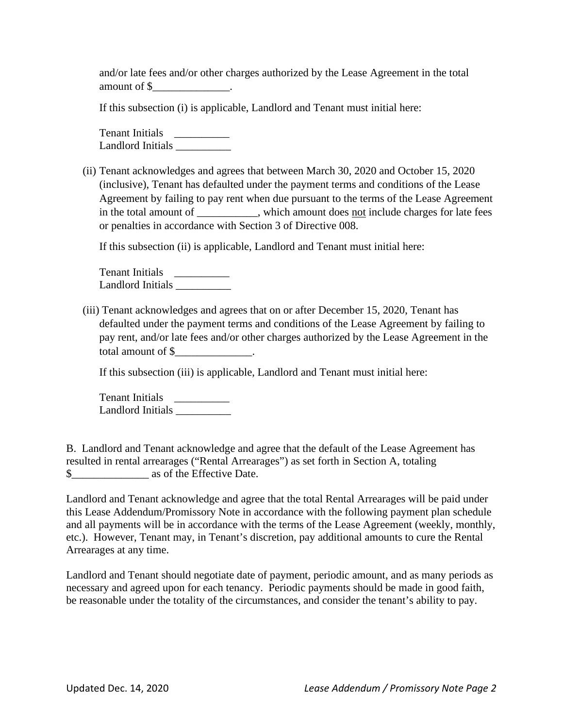and/or late fees and/or other charges authorized by the Lease Agreement in the total amount of \$\_\_\_\_\_\_\_\_\_\_\_\_\_\_.

If this subsection (i) is applicable, Landlord and Tenant must initial here:

Tenant Initials \_\_\_\_\_\_\_\_\_\_\_\_ Landlord Initials \_\_\_\_\_\_\_\_\_\_

(ii) Tenant acknowledges and agrees that between March 30, 2020 and October 15, 2020 (inclusive), Tenant has defaulted under the payment terms and conditions of the Lease Agreement by failing to pay rent when due pursuant to the terms of the Lease Agreement in the total amount of \_\_\_\_\_\_\_\_\_, which amount does <u>not</u> include charges for late fees or penalties in accordance with Section 3 of Directive 008.

If this subsection (ii) is applicable, Landlord and Tenant must initial here:

Tenant Initials \_\_\_\_\_\_\_\_\_\_\_\_\_ Landlord Initials \_\_\_\_\_\_\_\_\_\_

(iii) Tenant acknowledges and agrees that on or after December 15, 2020, Tenant has defaulted under the payment terms and conditions of the Lease Agreement by failing to pay rent, and/or late fees and/or other charges authorized by the Lease Agreement in the total amount of \$\_\_\_\_\_\_\_\_\_\_\_\_\_\_.

If this subsection (iii) is applicable, Landlord and Tenant must initial here:

Tenant Initials \_\_\_\_\_\_\_\_\_\_ Landlord Initials \_\_\_\_\_\_\_\_\_\_

B. Landlord and Tenant acknowledge and agree that the default of the Lease Agreement has resulted in rental arrearages ("Rental Arrearages") as set forth in Section A, totaling \$\_\_\_\_\_\_\_\_\_\_\_\_\_\_ as of the Effective Date.

Landlord and Tenant acknowledge and agree that the total Rental Arrearages will be paid under this Lease Addendum/Promissory Note in accordance with the following payment plan schedule and all payments will be in accordance with the terms of the Lease Agreement (weekly, monthly, etc.). However, Tenant may, in Tenant's discretion, pay additional amounts to cure the Rental Arrearages at any time.

Landlord and Tenant should negotiate date of payment, periodic amount, and as many periods as necessary and agreed upon for each tenancy. Periodic payments should be made in good faith, be reasonable under the totality of the circumstances, and consider the tenant's ability to pay.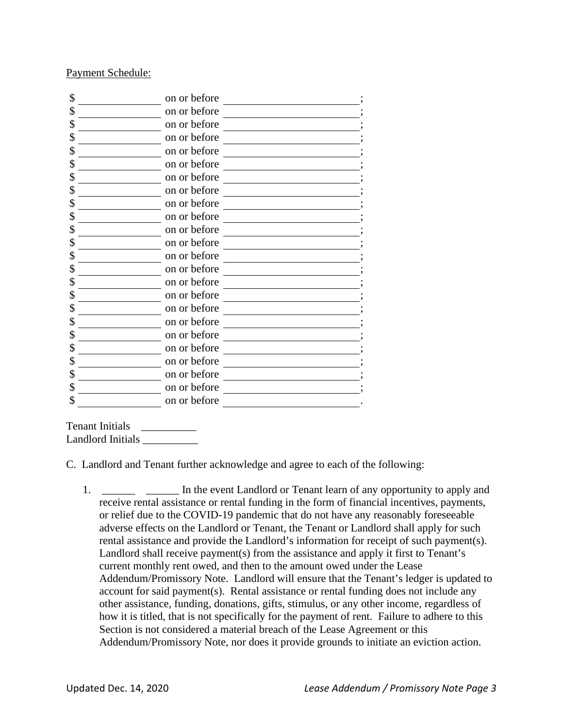## Payment Schedule:

| \$ | on or before |
|----|--------------|
|    | on or before |
|    | on or before |
|    | on or before |
|    | on or before |
|    | on or before |
|    | on or before |
|    | on or before |
|    | on or before |
|    | on or before |
|    | on or before |
| J  | on or before |
|    | on or before |
|    | on or before |
|    | on or before |
|    | on or before |
|    | on or before |
|    | on or before |
|    | on or before |
|    | on or before |
| J  | on or before |
|    | on or before |
| S  | on or before |
|    | on or before |

Tenant Initials \_\_\_\_\_\_\_\_\_\_ Landlord Initials \_\_\_\_\_\_\_\_\_\_

C. Landlord and Tenant further acknowledge and agree to each of the following:

1. \_\_\_\_\_\_\_ \_\_\_\_\_ In the event Landlord or Tenant learn of any opportunity to apply and receive rental assistance or rental funding in the form of financial incentives, payments, or relief due to the COVID-19 pandemic that do not have any reasonably foreseeable adverse effects on the Landlord or Tenant, the Tenant or Landlord shall apply for such rental assistance and provide the Landlord's information for receipt of such payment(s). Landlord shall receive payment(s) from the assistance and apply it first to Tenant's current monthly rent owed, and then to the amount owed under the Lease Addendum/Promissory Note. Landlord will ensure that the Tenant's ledger is updated to account for said payment(s). Rental assistance or rental funding does not include any other assistance, funding, donations, gifts, stimulus, or any other income, regardless of how it is titled, that is not specifically for the payment of rent. Failure to adhere to this Section is not considered a material breach of the Lease Agreement or this Addendum/Promissory Note, nor does it provide grounds to initiate an eviction action.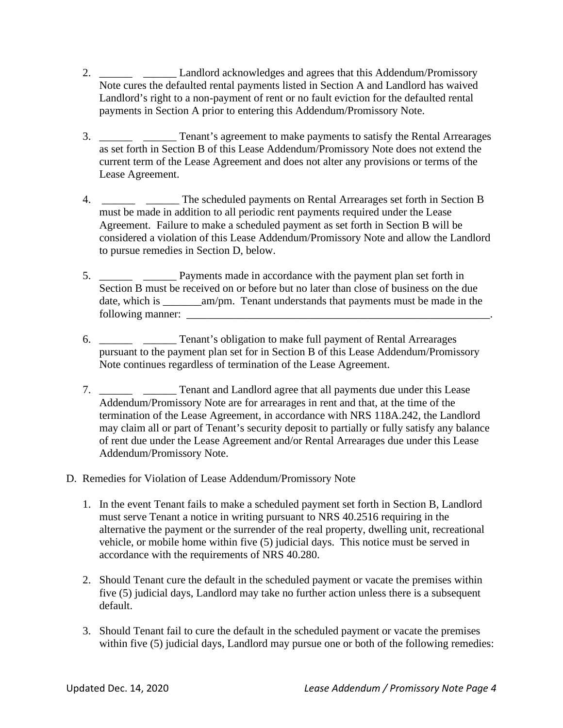- 2. \_\_\_\_\_\_ \_\_\_\_\_\_\_ Landlord acknowledges and agrees that this Addendum/Promissory Note cures the defaulted rental payments listed in Section A and Landlord has waived Landlord's right to a non-payment of rent or no fault eviction for the defaulted rental payments in Section A prior to entering this Addendum/Promissory Note.
- 3. \_\_\_\_\_\_ \_\_\_\_\_ Tenant's agreement to make payments to satisfy the Rental Arrearages as set forth in Section B of this Lease Addendum/Promissory Note does not extend the current term of the Lease Agreement and does not alter any provisions or terms of the Lease Agreement.
- 4. \_\_\_\_\_\_ \_\_\_\_\_\_ The scheduled payments on Rental Arrearages set forth in Section B must be made in addition to all periodic rent payments required under the Lease Agreement. Failure to make a scheduled payment as set forth in Section B will be considered a violation of this Lease Addendum/Promissory Note and allow the Landlord to pursue remedies in Section D, below.
- 5. \_\_\_\_\_\_ \_\_\_\_\_\_ Payments made in accordance with the payment plan set forth in Section B must be received on or before but no later than close of business on the due date, which is am/pm. Tenant understands that payments must be made in the following manner: \_\_\_\_\_\_\_\_\_\_\_\_\_\_\_\_\_\_\_\_\_\_\_\_\_\_\_\_\_\_\_\_\_\_\_\_\_\_\_\_\_\_\_\_\_\_\_\_\_\_\_\_\_\_\_.
- 6. \_\_\_\_\_\_ \_\_\_\_\_\_ Tenant's obligation to make full payment of Rental Arrearages pursuant to the payment plan set for in Section B of this Lease Addendum/Promissory Note continues regardless of termination of the Lease Agreement.
- 7. Tenant and Landlord agree that all payments due under this Lease Addendum/Promissory Note are for arrearages in rent and that, at the time of the termination of the Lease Agreement, in accordance with NRS 118A.242, the Landlord may claim all or part of Tenant's security deposit to partially or fully satisfy any balance of rent due under the Lease Agreement and/or Rental Arrearages due under this Lease Addendum/Promissory Note.
- D. Remedies for Violation of Lease Addendum/Promissory Note
	- 1. In the event Tenant fails to make a scheduled payment set forth in Section B, Landlord must serve Tenant a notice in writing pursuant to NRS 40.2516 requiring in the alternative the payment or the surrender of the real property, dwelling unit, recreational vehicle, or mobile home within five (5) judicial days. This notice must be served in accordance with the requirements of NRS 40.280.
	- 2. Should Tenant cure the default in the scheduled payment or vacate the premises within five (5) judicial days, Landlord may take no further action unless there is a subsequent default.
	- 3. Should Tenant fail to cure the default in the scheduled payment or vacate the premises within five (5) judicial days, Landlord may pursue one or both of the following remedies: